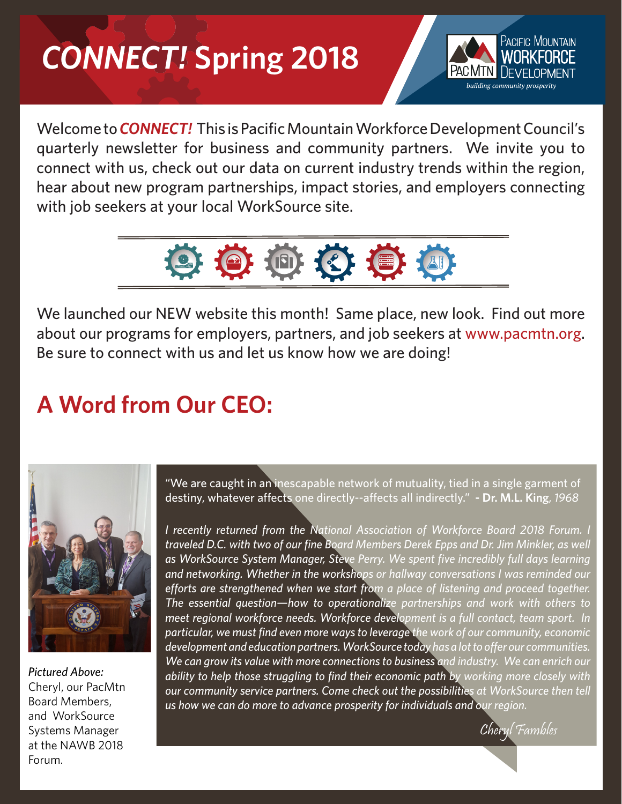# *CONNECT!* **Spring 2018**



Welcome to*CONNECT!* This is Pacific Mountain Workforce Development Council's quarterly newsletter for business and community partners. We invite you to connect with us, check out our data on current industry trends within the region, hear about new program partnerships, impact stories, and employers connecting with job seekers at your local WorkSource site.



We launched our NEW website this month! Same place, new look. Find out more about our programs for employers, partners, and job seekers at www.pacmtn.org. Be sure to connect with us and let us know how we are doing!

## **A Word from Our CEO:**



*Pictured Above:*  Cheryl, our PacMtn Board Members, and WorkSource Systems Manager at the NAWB 2018 Forum.

"We are caught in an inescapable network of mutuality, tied in a single garment of destiny, whatever affects one directly--affects all indirectly." **- Dr. M.L. King**, *1968*

*I recently returned from the National Association of Workforce Board 2018 Forum. I traveled D.C. with two of our fine Board Members Derek Epps and Dr. Jim Minkler, as well as WorkSource System Manager, Steve Perry. We spent five incredibly full days learning and networking. Whether in the workshops or hallway conversations I was reminded our efforts are strengthened when we start from a place of listening and proceed together. The essential question—how to operationalize partnerships and work with others to meet regional workforce needs. Workforce development is a full contact, team sport. In particular, we must find even more ways to leverage the work of our community, economic development and education partners. WorkSource today has a lot to offer our communities. We can grow its value with more connections to business and industry. We can enrich our ability to help those struggling to find their economic path by working more closely with our community service partners. Come check out the possibilities at WorkSource then tell us how we can do more to advance prosperity for individuals and our region.*

Cheryl Fambles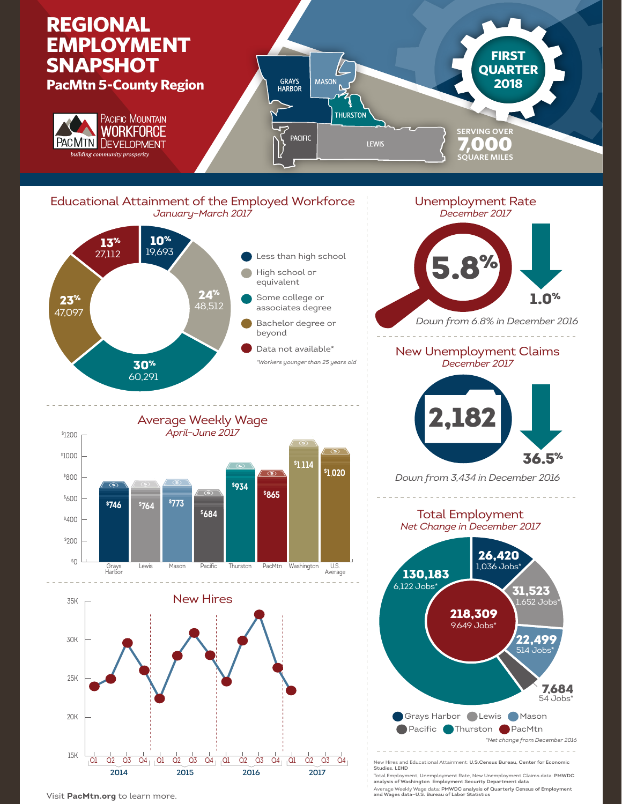

Visit **PacMtn.org** to learn more.

**analysis of Washington Employment Security Department data** Average Weekly Wage data: **PMWDC analysis of Quarterly Census of Employment and Wages data—U.S. Bureau of Labor Statistics**